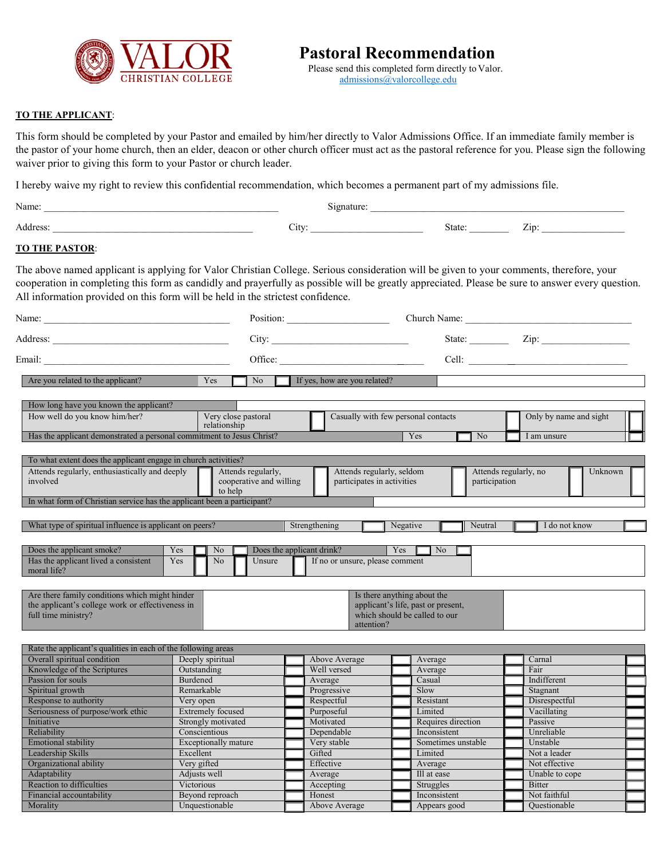

 Please send this completed form directly to Valor. [admissions@valorcollege.edu](mailto:admissions@valorcollege.edu)

## **TO THE APPLICANT**:

This form should be completed by your Pastor and emailed by him/her directly to Valor Admissions Office. If an immediate family member is the pastor of your home church, then an elder, deacon or other church officer must act as the pastoral reference for you. Please sign the following waiver prior to giving this form to your Pastor or church leader.

I hereby waive my right to review this confidential recommendation, which becomes a permanent part of my admissions file.

| Name: | ுnatu.     |              |            |
|-------|------------|--------------|------------|
|       | <br>$\cup$ | <b>1</b> και | <b>LIF</b> |

## **TO THE PASTOR**:

The above named applicant is applying for Valor Christian College. Serious consideration will be given to your comments, therefore, your cooperation in completing this form as candidly and prayerfully as possible will be greatly appreciated. Please be sure to answer every question. All information provided on this form will be held in the strictest confidence.

| Name:<br>Position:                                                                                                                                                                                                             |                                                                       | Church Name:                                  |                                                         |                                                                                                    |                                                   |             |                        |  |
|--------------------------------------------------------------------------------------------------------------------------------------------------------------------------------------------------------------------------------|-----------------------------------------------------------------------|-----------------------------------------------|---------------------------------------------------------|----------------------------------------------------------------------------------------------------|---------------------------------------------------|-------------|------------------------|--|
|                                                                                                                                                                                                                                |                                                                       | City:                                         |                                                         |                                                                                                    |                                                   |             |                        |  |
| Email: Email: Email: Email: Email: Email: Email: Email: Email: Email: Email: Email: Email: Email: Email: Email: Email: Email: Email: Email: Email: Email: Email: Email: Email: Email: Email: Email: Email: Email: Email: Email |                                                                       | Office:                                       |                                                         |                                                                                                    |                                                   |             |                        |  |
| Are you related to the applicant?                                                                                                                                                                                              | Yes                                                                   | N <sub>o</sub>                                | If yes, how are you related?                            |                                                                                                    |                                                   |             |                        |  |
| How long have you known the applicant?                                                                                                                                                                                         |                                                                       |                                               |                                                         |                                                                                                    |                                                   |             |                        |  |
| How well do you know him/her?                                                                                                                                                                                                  | Very close pastoral<br>relationship                                   |                                               |                                                         | Casually with few personal contacts                                                                |                                                   |             | Only by name and sight |  |
|                                                                                                                                                                                                                                | Has the applicant demonstrated a personal commitment to Jesus Christ? |                                               |                                                         | N <sub>o</sub>                                                                                     |                                                   | I am unsure |                        |  |
| To what extent does the applicant engage in church activities?                                                                                                                                                                 |                                                                       |                                               |                                                         |                                                                                                    |                                                   |             |                        |  |
| Attends regularly, enthusiastically and deeply<br>involved<br>to help                                                                                                                                                          |                                                                       | Attends regularly,<br>cooperative and willing | Attends regularly, seldom<br>participates in activities |                                                                                                    | Attends regularly, no<br>Unknown<br>participation |             |                        |  |
| In what form of Christian service has the applicant been a participant?                                                                                                                                                        |                                                                       |                                               |                                                         |                                                                                                    |                                                   |             |                        |  |
| What type of spiritual influence is applicant on peers?                                                                                                                                                                        |                                                                       |                                               | Strengthening                                           | Negative                                                                                           | Neutral                                           |             | I do not know          |  |
| Does the applicant smoke?                                                                                                                                                                                                      |                                                                       |                                               | Does the applicant drink?                               | Yes                                                                                                | N <sub>o</sub>                                    |             |                        |  |
| Has the applicant lived a consistent<br>moral life?                                                                                                                                                                            | Yes<br>N <sub>o</sub><br>Yes<br>N <sub>o</sub>                        | Unsure                                        | If no or unsure, please comment                         |                                                                                                    |                                                   |             |                        |  |
| Are there family conditions which might hinder<br>the applicant's college work or effectiveness in<br>full time ministry?                                                                                                      |                                                                       |                                               | attention?                                              | Is there anything about the<br>applicant's life, past or present,<br>which should be called to our |                                                   |             |                        |  |
| Rate the applicant's qualities in each of the following areas                                                                                                                                                                  |                                                                       |                                               |                                                         |                                                                                                    |                                                   |             |                        |  |
| Overall spiritual condition                                                                                                                                                                                                    | Deeply spiritual                                                      |                                               | Above Average                                           | Average                                                                                            |                                                   |             | Carnal                 |  |
| Knowledge of the Scriptures                                                                                                                                                                                                    | Outstanding                                                           |                                               | Well versed                                             | Average                                                                                            |                                                   |             | Fair                   |  |
| Passion for souls                                                                                                                                                                                                              | Burdened                                                              |                                               | Average                                                 | Casual                                                                                             |                                                   |             | Indifferent            |  |
| Spiritual growth                                                                                                                                                                                                               | Remarkable                                                            |                                               | Progressive                                             | Slow                                                                                               |                                                   |             | Stagnant               |  |
| Response to authority                                                                                                                                                                                                          | Very open                                                             |                                               | Respectful                                              | Resistant<br>Limited                                                                               |                                                   |             | Disrespectful          |  |
| Seriousness of purpose/work ethic                                                                                                                                                                                              | <b>Extremely focused</b>                                              |                                               | Purposeful                                              |                                                                                                    |                                                   |             | Vacillating            |  |
| Initiative                                                                                                                                                                                                                     | Strongly motivated                                                    |                                               | Motivated                                               |                                                                                                    | Requires direction                                |             | Passive                |  |
| Reliability                                                                                                                                                                                                                    | Conscientious                                                         |                                               | Dependable                                              |                                                                                                    | Inconsistent                                      |             | Unreliable             |  |
| <b>Emotional stability</b>                                                                                                                                                                                                     | <b>Exceptionally mature</b>                                           |                                               | Very stable                                             |                                                                                                    | Sometimes unstable                                |             | Unstable               |  |
| Leadership Skills                                                                                                                                                                                                              | Excellent                                                             |                                               | Gifted                                                  |                                                                                                    | Limited                                           |             | Not a leader           |  |
| Organizational ability                                                                                                                                                                                                         | Very gifted                                                           |                                               |                                                         | Effective<br>Average                                                                               |                                                   |             | Not effective          |  |
| Adaptability                                                                                                                                                                                                                   | Adjusts well                                                          |                                               | Average                                                 | Ill at ease                                                                                        |                                                   |             | Unable to cope         |  |
| Reaction to difficulties                                                                                                                                                                                                       | Victorious                                                            |                                               | Accepting                                               | Struggles                                                                                          |                                                   |             | <b>Bitter</b>          |  |
| Financial accountability                                                                                                                                                                                                       | Beyond reproach                                                       |                                               | Honest                                                  |                                                                                                    | Inconsistent                                      |             | Not faithful           |  |
| Morality                                                                                                                                                                                                                       | Unquestionable                                                        |                                               | Above Average                                           |                                                                                                    | Appears good                                      |             | Ouestionable           |  |